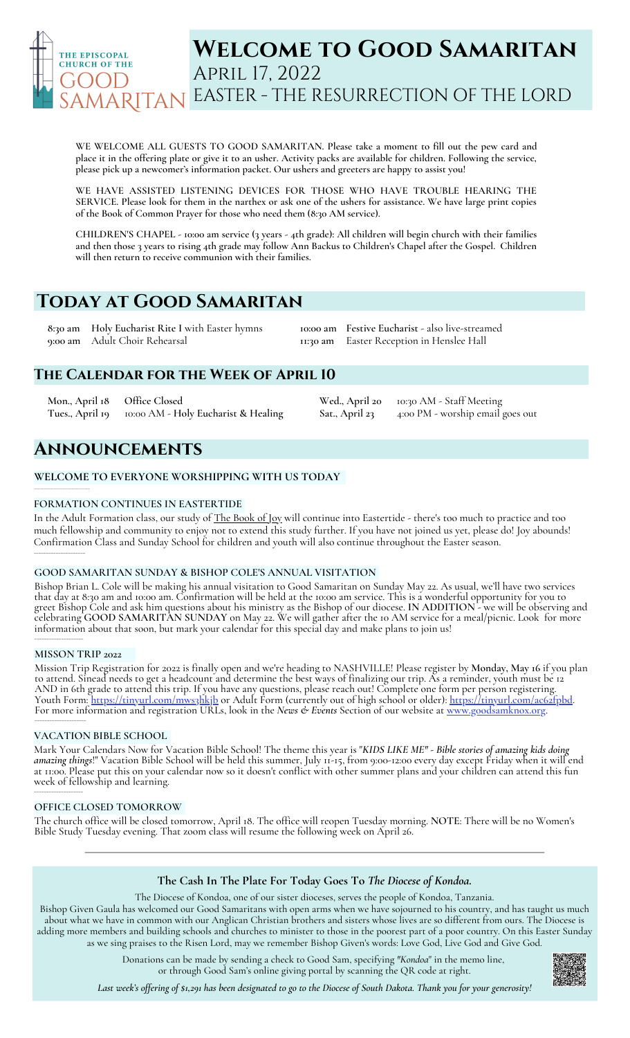

# **Welcome to Good Samaritan** April 17, 2022 EASTER - THE RESURRECTION OF THE LORD

**WE WELCOME ALL GUESTS TO GOOD SAMARITAN. Please take a moment to fill out the pew card and** place it in the offering plate or give it to an usher. Activity packs are available for children. Following the service, **please pick up a newcomer's information packet. Our ushers and greeters are happy to assist you!**

**WE HAVE ASSISTED LISTENING DEVICES FOR THOSE WHO HAVE TROUBLE HEARING THE** SERVICE. Please look for them in the narthex or ask one of the ushers for assistance. We have large print copies **of the Book of Common Prayer for those who need them (8:30 AM service).**

CHILDREN'S CHAPEL - 10:00 am service (3 years - 4th grade): All children will begin church with their families and then those 3 years to rising 4th grade may follow Ann Backus to Children's Chapel after the Gospel. Children **will then return to receive communion with their families.**

# **Today at Good Samaritan**

**8:30 am Holy Eucharist Rite I** with Easter hymns **9:00 am** Adult Choir Rehearsal

**10:00 am Festive Eucharist** - also live-streamed **11:30 am** Easter Reception in Henslee Hall

**Wed., April 20** 10:30 AM - Staff Meeting

**Sat., April 23** 4:00 PM - worship email goes out

### **The Calendar for the Week of April 10**

**Mon., April 18 Office Closed Tues., April 19** 10:00 AM - **Holy Eucharist & Healing**

## **Announcements**

### **WELCOME TO EVERYONE WORSHIPPING WITH US TODAY**

### **FORMATION CONTINUES IN EASTERTIDE**

In the Adult Formation class, our study of The Book of Joy will continue into Eastertide - there's too much to practice and too much fellowship and community to enjoy not to extend this study further. If you have not joined us yet, please do! Joy abounds! Confirmation Class and Sunday School for children and youth will also continue throughout the Easter season. \_\_\_\_\_\_\_\_\_\_\_\_\_\_\_\_\_\_\_\_\_\_\_\_\_

### **GOOD SAMARITAN SUNDAY & BISHOP COLE'S ANNUAL VISITATION**

Bishop Brian L.Cole will be making his annual visitation to Good Samaritan on Sunday May 22. As usual, we'll have two services that day at 8:30 am and 10:00 am. Confirmation will be held at the 10:00 am service. This is a wonderful opportunity for you to greet Bishop Cole and ask him questions about his ministry as the Bishop of our diocese. **IN ADDITION** - we will be observing and celebrating **GOOD SAMARITAN SUNDAY** on May 22. We will gather after the 10 AM service for a meal/picnic. Look for more information about that soon, but mark your calendar for this special day and make plans to join us! \_\_\_\_\_\_\_\_\_\_\_\_\_\_\_\_\_\_\_\_\_

### **MISSON TRIP 2022**

**\_\_\_\_\_\_\_\_\_\_\_\_\_\_\_\_\_\_\_\_\_\_\_\_\_\_\_\_\_\_\_\_\_\_**

Mission Trip Registration for 2022 is finally open and we're heading to NASHVILLE! Please register by **Monday, May 16** if you plan to attend. Sinead needs to get a headcount and determine the best ways of finalizing our trip. As a reminder, youth must be 12<br>AND in 6th grade to attend this trip. If you have any questions, please reach out! Complete one

### **VACATION BIBLE SCHOOL**

Mark Your Calendars Now for Vacation Bible School! The theme this year is "*KIDS LIKE ME" - Bible stories of amazing kids doing*<br>*amazing things*!" Vacation Bible School will be held this summer, July 11-15, from 9:00-12:0 at 11:00. Please put this on your calendar now so it doesn't conflict with other summer plans and your children can attend this fun week of fellowship and learning. \_\_\_\_\_\_\_\_\_\_\_\_\_\_\_\_\_\_\_\_

### **OFFICE CLOSED TOMORROW**

The church office will be closed tomorrow, April 18. The office will reopen Tuesday morning. **NOTE**: There will be no Women's Bible Study Tuesday evening. That zoom class will resume the following week on April 26.

### **The Cash In The Plate For Today Goes To** *The Diocese of Kondoa.*

The Diocese of Kondoa, one of our sister dioceses, serves the people of Kondoa, Tanzania.

Bishop Given Gaula has welcomed our Good Samaritans with open arms when we have sojourned to his country, and has taught us much about what we have in common with our Anglican Christian brothers and sisters whose lives are so different from ours. The Diocese is adding more members and building schools and churches to minister to those in the poorest part of a poor country. On this Easter Sunday as we sing praises to the Risen Lord, may we remember Bishop Given's words: Love God, Live God and Give God.

> Donations can be made by sending a check to Good Sam, specifying *"Kondoa*" in the memo line, or through Good Sam's online giving portal by scanning the QR code at right.

Last week's offering of \$1,291 has been designated to go to the Diocese of South Dakota. Thank you for your generosity!